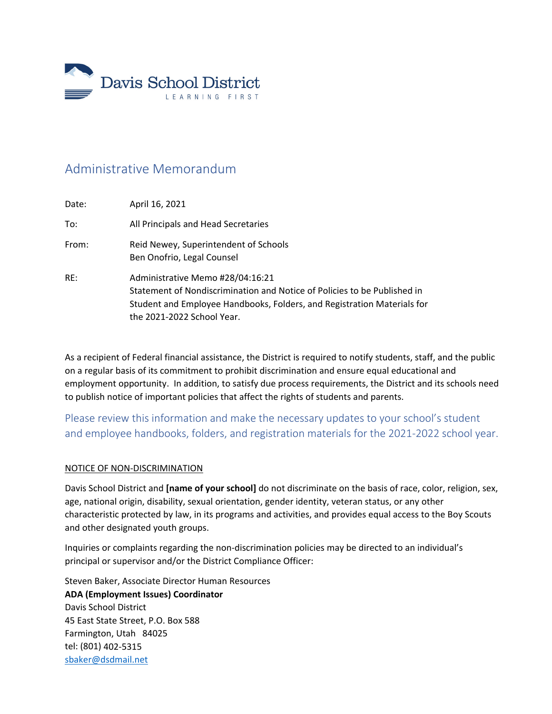

# Administrative Memorandum

| Date: | April 16, 2021                                                                                                                                                                                                        |
|-------|-----------------------------------------------------------------------------------------------------------------------------------------------------------------------------------------------------------------------|
| To:   | All Principals and Head Secretaries                                                                                                                                                                                   |
| From: | Reid Newey, Superintendent of Schools<br>Ben Onofrio, Legal Counsel                                                                                                                                                   |
| RE:   | Administrative Memo #28/04:16:21<br>Statement of Nondiscrimination and Notice of Policies to be Published in<br>Student and Employee Handbooks, Folders, and Registration Materials for<br>the 2021-2022 School Year. |

As a recipient of Federal financial assistance, the District is required to notify students, staff, and the public on a regular basis of its commitment to prohibit discrimination and ensure equal educational and employment opportunity. In addition, to satisfy due process requirements, the District and its schools need to publish notice of important policies that affect the rights of students and parents.

Please review this information and make the necessary updates to your school's student and employee handbooks, folders, and registration materials for the 2021‐2022 school year.

# NOTICE OF NON‐DISCRIMINATION

Davis School District and **[name of your school]** do not discriminate on the basis of race, color, religion, sex, age, national origin, disability, sexual orientation, gender identity, veteran status, or any other characteristic protected by law, in its programs and activities, and provides equal access to the Boy Scouts and other designated youth groups.

Inquiries or complaints regarding the non-discrimination policies may be directed to an individual's principal or supervisor and/or the District Compliance Officer:

Steven Baker, Associate Director Human Resources **ADA (Employment Issues) Coordinator** Davis School District 45 East State Street, P.O. Box 588 Farmington, Utah 84025 tel: (801) 402‐5315 sbaker@dsdmail.net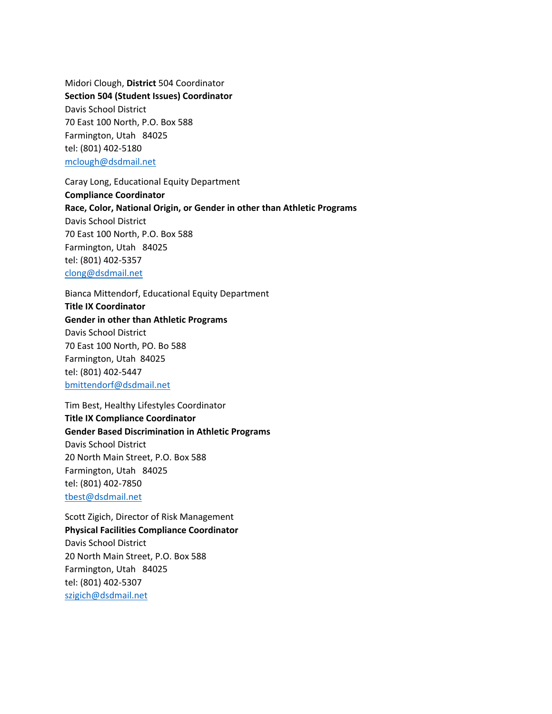Midori Clough, **District** 504 Coordinator **Section 504 (Student Issues) Coordinator** Davis School District 70 East 100 North, P.O. Box 588 Farmington, Utah 84025 tel: (801) 402‐5180 mclough@dsdmail.net

Caray Long, Educational Equity Department **Compliance Coordinator Race, Color, National Origin, or Gender in other than Athletic Programs** Davis School District 70 East 100 North, P.O. Box 588 Farmington, Utah 84025 tel: (801) 402‐5357 clong@dsdmail.net

Bianca Mittendorf, Educational Equity Department **Title IX Coordinator Gender in other than Athletic Programs** Davis School District 70 East 100 North, PO. Bo 588 Farmington, Utah 84025 tel: (801) 402‐5447 bmittendorf@dsdmail.net

Tim Best, Healthy Lifestyles Coordinator **Title IX Compliance Coordinator Gender Based Discrimination in Athletic Programs** Davis School District 20 North Main Street, P.O. Box 588 Farmington, Utah 84025 tel: (801) 402‐7850 tbest@dsdmail.net

Scott Zigich, Director of Risk Management **Physical Facilities Compliance Coordinator** Davis School District 20 North Main Street, P.O. Box 588 Farmington, Utah 84025 tel: (801) 402‐5307 szigich@dsdmail.net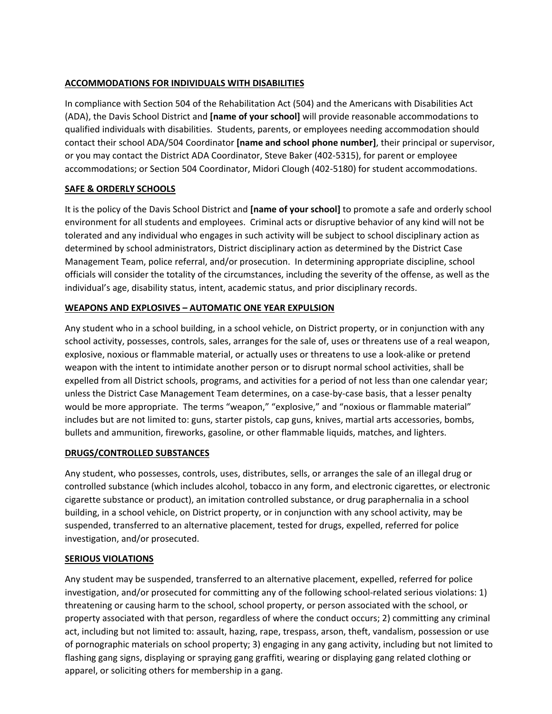## **ACCOMMODATIONS FOR INDIVIDUALS WITH DISABILITIES**

In compliance with Section 504 of the Rehabilitation Act (504) and the Americans with Disabilities Act (ADA), the Davis School District and **[name of your school]** will provide reasonable accommodations to qualified individuals with disabilities. Students, parents, or employees needing accommodation should contact their school ADA/504 Coordinator **[name and school phone number]**, their principal or supervisor, or you may contact the District ADA Coordinator, Steve Baker (402‐5315), for parent or employee accommodations; or Section 504 Coordinator, Midori Clough (402‐5180) for student accommodations.

# **SAFE & ORDERLY SCHOOLS**

It is the policy of the Davis School District and **[name of your school]** to promote a safe and orderly school environment for all students and employees. Criminal acts or disruptive behavior of any kind will not be tolerated and any individual who engages in such activity will be subject to school disciplinary action as determined by school administrators, District disciplinary action as determined by the District Case Management Team, police referral, and/or prosecution. In determining appropriate discipline, school officials will consider the totality of the circumstances, including the severity of the offense, as well as the individual's age, disability status, intent, academic status, and prior disciplinary records.

# **WEAPONS AND EXPLOSIVES – AUTOMATIC ONE YEAR EXPULSION**

Any student who in a school building, in a school vehicle, on District property, or in conjunction with any school activity, possesses, controls, sales, arranges for the sale of, uses or threatens use of a real weapon, explosive, noxious or flammable material, or actually uses or threatens to use a look‐alike or pretend weapon with the intent to intimidate another person or to disrupt normal school activities, shall be expelled from all District schools, programs, and activities for a period of not less than one calendar year; unless the District Case Management Team determines, on a case‐by‐case basis, that a lesser penalty would be more appropriate. The terms "weapon," "explosive," and "noxious or flammable material" includes but are not limited to: guns, starter pistols, cap guns, knives, martial arts accessories, bombs, bullets and ammunition, fireworks, gasoline, or other flammable liquids, matches, and lighters.

# **DRUGS/CONTROLLED SUBSTANCES**

Any student, who possesses, controls, uses, distributes, sells, or arranges the sale of an illegal drug or controlled substance (which includes alcohol, tobacco in any form, and electronic cigarettes, or electronic cigarette substance or product), an imitation controlled substance, or drug paraphernalia in a school building, in a school vehicle, on District property, or in conjunction with any school activity, may be suspended, transferred to an alternative placement, tested for drugs, expelled, referred for police investigation, and/or prosecuted.

# **SERIOUS VIOLATIONS**

Any student may be suspended, transferred to an alternative placement, expelled, referred for police investigation, and/or prosecuted for committing any of the following school‐related serious violations: 1) threatening or causing harm to the school, school property, or person associated with the school, or property associated with that person, regardless of where the conduct occurs; 2) committing any criminal act, including but not limited to: assault, hazing, rape, trespass, arson, theft, vandalism, possession or use of pornographic materials on school property; 3) engaging in any gang activity, including but not limited to flashing gang signs, displaying or spraying gang graffiti, wearing or displaying gang related clothing or apparel, or soliciting others for membership in a gang.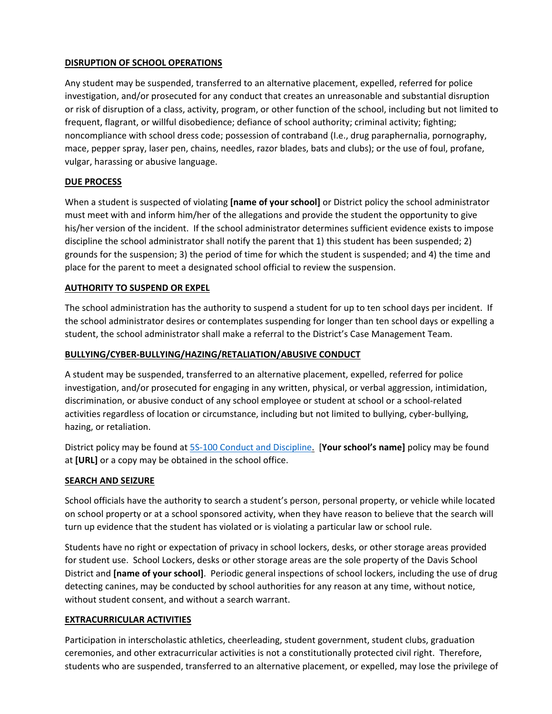## **DISRUPTION OF SCHOOL OPERATIONS**

Any student may be suspended, transferred to an alternative placement, expelled, referred for police investigation, and/or prosecuted for any conduct that creates an unreasonable and substantial disruption or risk of disruption of a class, activity, program, or other function of the school, including but not limited to frequent, flagrant, or willful disobedience; defiance of school authority; criminal activity; fighting; noncompliance with school dress code; possession of contraband (I.e., drug paraphernalia, pornography, mace, pepper spray, laser pen, chains, needles, razor blades, bats and clubs); or the use of foul, profane, vulgar, harassing or abusive language.

### **DUE PROCESS**

When a student is suspected of violating **[name of your school]** or District policy the school administrator must meet with and inform him/her of the allegations and provide the student the opportunity to give his/her version of the incident. If the school administrator determines sufficient evidence exists to impose discipline the school administrator shall notify the parent that 1) this student has been suspended; 2) grounds for the suspension; 3) the period of time for which the student is suspended; and 4) the time and place for the parent to meet a designated school official to review the suspension.

## **AUTHORITY TO SUSPEND OR EXPEL**

The school administration has the authority to suspend a student for up to ten school days per incident. If the school administrator desires or contemplates suspending for longer than ten school days or expelling a student, the school administrator shall make a referral to the District's Case Management Team.

## **BULLYING/CYBER‐BULLYING/HAZING/RETALIATION/ABUSIVE CONDUCT**

A student may be suspended, transferred to an alternative placement, expelled, referred for police investigation, and/or prosecuted for engaging in any written, physical, or verbal aggression, intimidation, discrimination, or abusive conduct of any school employee or student at school or a school‐related activities regardless of location or circumstance, including but not limited to bullying, cyber-bullying, hazing, or retaliation.

District policy may be found at 5S‐100 Conduct and Discipline. [**Your school's name]** policy may be found at **[URL]** or a copy may be obtained in the school office.

### **SEARCH AND SEIZURE**

School officials have the authority to search a student's person, personal property, or vehicle while located on school property or at a school sponsored activity, when they have reason to believe that the search will turn up evidence that the student has violated or is violating a particular law or school rule.

Students have no right or expectation of privacy in school lockers, desks, or other storage areas provided for student use. School Lockers, desks or other storage areas are the sole property of the Davis School District and **[name of your school]**. Periodic general inspections of school lockers, including the use of drug detecting canines, may be conducted by school authorities for any reason at any time, without notice, without student consent, and without a search warrant.

# **EXTRACURRICULAR ACTIVITIES**

Participation in interscholastic athletics, cheerleading, student government, student clubs, graduation ceremonies, and other extracurricular activities is not a constitutionally protected civil right. Therefore, students who are suspended, transferred to an alternative placement, or expelled, may lose the privilege of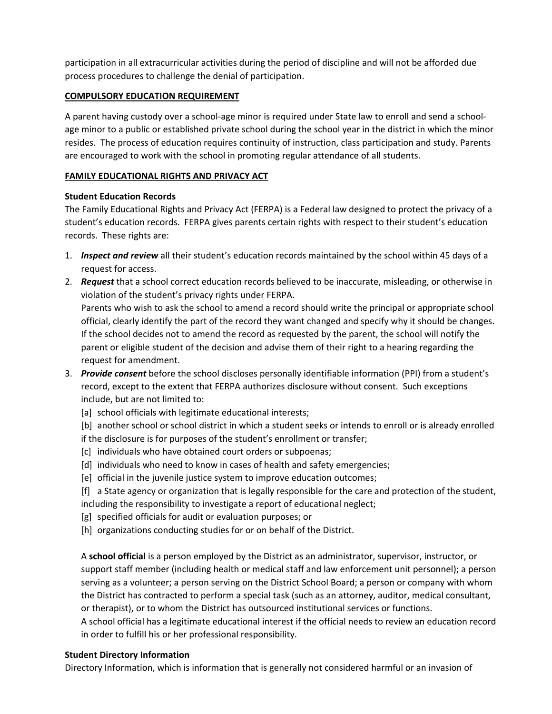participation in all extracurricular activities during the period of discipline and will not be afforded due process procedures to challenge the denial of participation.

## **COMPULSORY EDUCATION REQUIREMENT**

A parent having custody over a school‐age minor is required under State law to enroll and send a school‐ age minor to a public or established private school during the school year in the district in which the minor resides. The process of education requires continuity of instruction, class participation and study. Parents are encouraged to work with the school in promoting regular attendance of all students.

## **FAMILY EDUCATIONAL RIGHTS AND PRIVACY ACT**

### **Student Education Records**

The Family Educational Rights and Privacy Act (FERPA) is a Federal law designed to protect the privacy of a student's education records. FERPA gives parents certain rights with respect to their student's education records. These rights are:

- 1. *Inspect and review* all their student's education records maintained by the school within 45 days of a request for access.
- 2. *Request* that a school correct education records believed to be inaccurate, misleading, or otherwise in violation of the student's privacy rights under FERPA.

Parents who wish to ask the school to amend a record should write the principal or appropriate school official, clearly identify the part of the record they want changed and specify why it should be changes. If the school decides not to amend the record as requested by the parent, the school will notify the parent or eligible student of the decision and advise them of their right to a hearing regarding the request for amendment.

- 3. *Provide consent* before the school discloses personally identifiable information (PPI) from a student's record, except to the extent that FERPA authorizes disclosure without consent. Such exceptions include, but are not limited to:
	- [a] school officials with legitimate educational interests;
	- [b] another school or school district in which a student seeks or intends to enroll or is already enrolled if the disclosure is for purposes of the student's enrollment or transfer;
	- [c] individuals who have obtained court orders or subpoenas;
	- [d] individuals who need to know in cases of health and safety emergencies;
	- [e] official in the juvenile justice system to improve education outcomes;
	- [f] a State agency or organization that is legally responsible for the care and protection of the student, including the responsibility to investigate a report of educational neglect;
	- [g] specified officials for audit or evaluation purposes; or
	- [h] organizations conducting studies for or on behalf of the District.

A **school official** is a person employed by the District as an administrator, supervisor, instructor, or support staff member (including health or medical staff and law enforcement unit personnel); a person serving as a volunteer; a person serving on the District School Board; a person or company with whom the District has contracted to perform a special task (such as an attorney, auditor, medical consultant, or therapist), or to whom the District has outsourced institutional services or functions.

A school official has a legitimate educational interest if the official needs to review an education record in order to fulfill his or her professional responsibility.

### **Student Directory Information**

Directory Information, which is information that is generally not considered harmful or an invasion of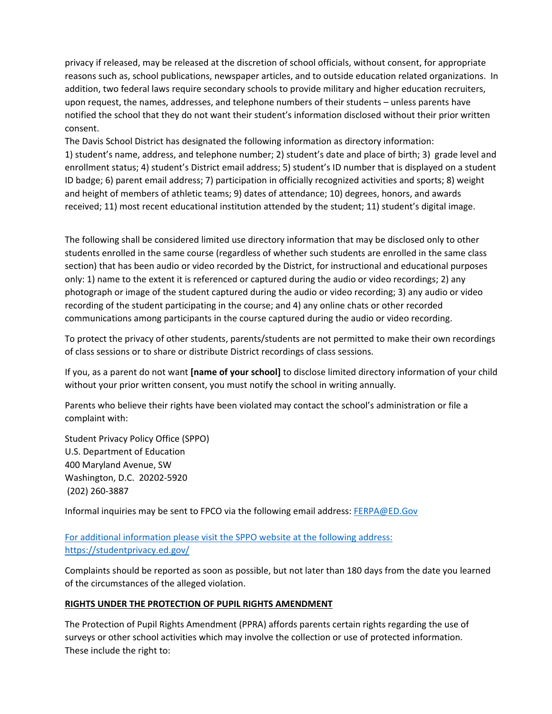privacy if released, may be released at the discretion of school officials, without consent, for appropriate reasons such as, school publications, newspaper articles, and to outside education related organizations. In addition, two federal laws require secondary schools to provide military and higher education recruiters, upon request, the names, addresses, and telephone numbers of their students – unless parents have notified the school that they do not want their student's information disclosed without their prior written consent.

The Davis School District has designated the following information as directory information: 1) student's name, address, and telephone number; 2) student's date and place of birth; 3) grade level and enrollment status; 4) student's District email address; 5) student's ID number that is displayed on a student ID badge; 6) parent email address; 7) participation in officially recognized activities and sports; 8) weight and height of members of athletic teams; 9) dates of attendance; 10) degrees, honors, and awards received; 11) most recent educational institution attended by the student; 11) student's digital image.

The following shall be considered limited use directory information that may be disclosed only to other students enrolled in the same course (regardless of whether such students are enrolled in the same class section) that has been audio or video recorded by the District, for instructional and educational purposes only: 1) name to the extent it is referenced or captured during the audio or video recordings; 2) any photograph or image of the student captured during the audio or video recording; 3) any audio or video recording of the student participating in the course; and 4) any online chats or other recorded communications among participants in the course captured during the audio or video recording.

To protect the privacy of other students, parents/students are not permitted to make their own recordings of class sessions or to share or distribute District recordings of class sessions.

If you, as a parent do not want **[name of your school]** to disclose limited directory information of your child without your prior written consent, you must notify the school in writing annually.

Parents who believe their rights have been violated may contact the school's administration or file a complaint with:

Student Privacy Policy Office (SPPO) U.S. Department of Education 400 Maryland Avenue, SW Washington, D.C. 20202‐5920 (202) 260‐3887

Informal inquiries may be sent to FPCO via the following email address: FERPA@ED.Gov

# For additional information please visit the SPPO website at the following address: https://studentprivacy.ed.gov/

Complaints should be reported as soon as possible, but not later than 180 days from the date you learned of the circumstances of the alleged violation.

### **RIGHTS UNDER THE PROTECTION OF PUPIL RIGHTS AMENDMENT**

The Protection of Pupil Rights Amendment (PPRA) affords parents certain rights regarding the use of surveys or other school activities which may involve the collection or use of protected information. These include the right to: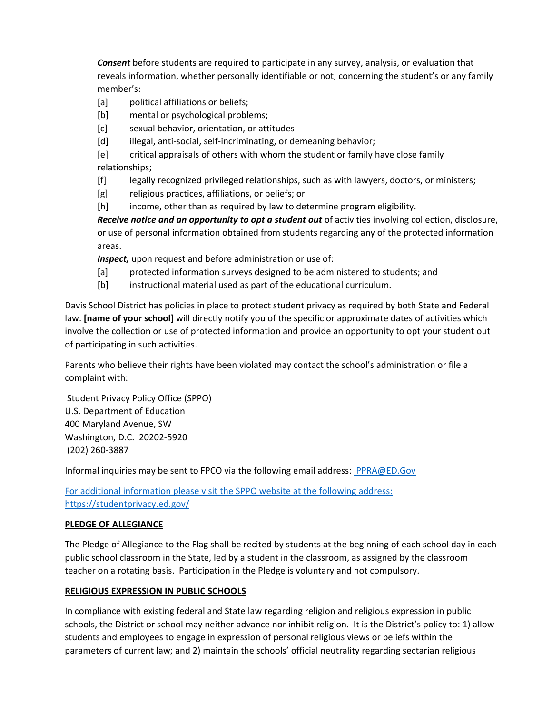*Consent* before students are required to participate in any survey, analysis, or evaluation that reveals information, whether personally identifiable or not, concerning the student's or any family member's:

- [a]  $\blacksquare$  political affiliations or beliefs;
- [b] mental or psychological problems;
- [c] sexual behavior, orientation, or attitudes
- [d] illegal, anti-social, self-incriminating, or demeaning behavior;

[e] critical appraisals of others with whom the student or family have close family relationships;

- [f] legally recognized privileged relationships, such as with lawyers, doctors, or ministers;
- [g] religious practices, affiliations, or beliefs; or
- [h] income, other than as required by law to determine program eligibility.

*Receive notice and an opportunity to opt a student out* of activities involving collection, disclosure, or use of personal information obtained from students regarding any of the protected information areas.

*Inspect,* upon request and before administration or use of:

- [a] protected information surveys designed to be administered to students; and
- [b] instructional material used as part of the educational curriculum.

Davis School District has policies in place to protect student privacy as required by both State and Federal law. **[name of your school]** will directly notify you of the specific or approximate dates of activities which involve the collection or use of protected information and provide an opportunity to opt your student out of participating in such activities.

Parents who believe their rights have been violated may contact the school's administration or file a complaint with:

Student Privacy Policy Office (SPPO) U.S. Department of Education 400 Maryland Avenue, SW Washington, D.C. 20202‐5920 (202) 260‐3887

Informal inquiries may be sent to FPCO via the following email address: PPRA@ED.Gov

For additional information please visit the SPPO website at the following address: https://studentprivacy.ed.gov/

### **PLEDGE OF ALLEGIANCE**

The Pledge of Allegiance to the Flag shall be recited by students at the beginning of each school day in each public school classroom in the State, led by a student in the classroom, as assigned by the classroom teacher on a rotating basis. Participation in the Pledge is voluntary and not compulsory.

### **RELIGIOUS EXPRESSION IN PUBLIC SCHOOLS**

In compliance with existing federal and State law regarding religion and religious expression in public schools, the District or school may neither advance nor inhibit religion. It is the District's policy to: 1) allow students and employees to engage in expression of personal religious views or beliefs within the parameters of current law; and 2) maintain the schools' official neutrality regarding sectarian religious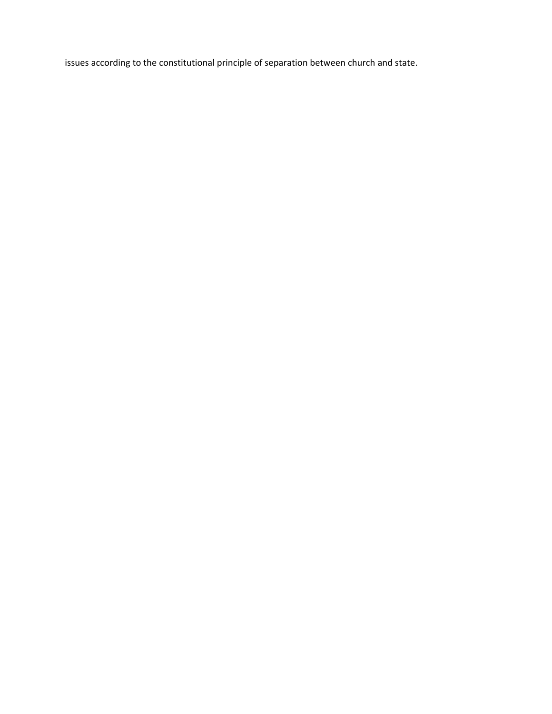issues according to the constitutional principle of separation between church and state.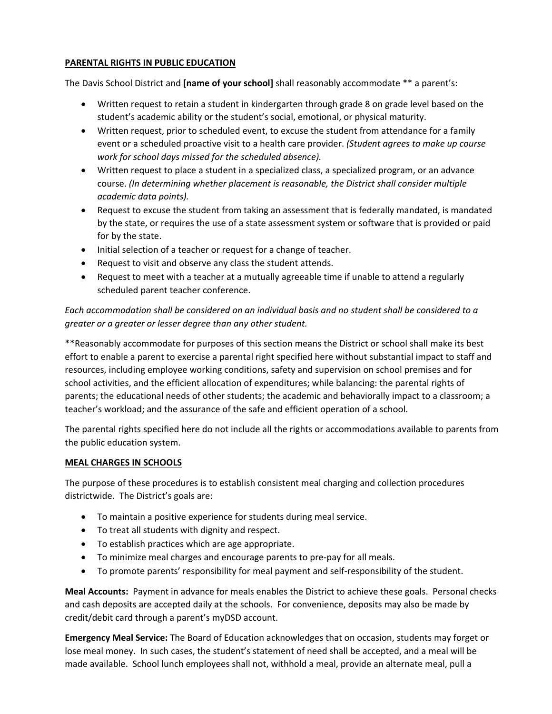## **PARENTAL RIGHTS IN PUBLIC EDUCATION**

The Davis School District and **[name of your school]** shall reasonably accommodate \*\* a parent's:

- Written request to retain a student in kindergarten through grade 8 on grade level based on the student's academic ability or the student's social, emotional, or physical maturity.
- Written request, prior to scheduled event, to excuse the student from attendance for a family event or a scheduled proactive visit to a health care provider. *(Student agrees to make up course work for school days missed for the scheduled absence).*
- Written request to place a student in a specialized class, a specialized program, or an advance course. *(In determining whether placement is reasonable, the District shall consider multiple academic data points).*
- Request to excuse the student from taking an assessment that is federally mandated, is mandated by the state, or requires the use of a state assessment system or software that is provided or paid for by the state.
- Initial selection of a teacher or request for a change of teacher.
- Request to visit and observe any class the student attends.
- Request to meet with a teacher at a mutually agreeable time if unable to attend a regularly scheduled parent teacher conference.

*Each accommodation shall be considered on an individual basis and no student shall be considered to a greater or a greater or lesser degree than any other student.*

\*\*Reasonably accommodate for purposes of this section means the District or school shall make its best effort to enable a parent to exercise a parental right specified here without substantial impact to staff and resources, including employee working conditions, safety and supervision on school premises and for school activities, and the efficient allocation of expenditures; while balancing: the parental rights of parents; the educational needs of other students; the academic and behaviorally impact to a classroom; a teacher's workload; and the assurance of the safe and efficient operation of a school.

The parental rights specified here do not include all the rights or accommodations available to parents from the public education system.

### **MEAL CHARGES IN SCHOOLS**

The purpose of these procedures is to establish consistent meal charging and collection procedures districtwide. The District's goals are:

- To maintain a positive experience for students during meal service.
- To treat all students with dignity and respect.
- To establish practices which are age appropriate.
- To minimize meal charges and encourage parents to pre‐pay for all meals.
- To promote parents' responsibility for meal payment and self-responsibility of the student.

**Meal Accounts:** Payment in advance for meals enables the District to achieve these goals. Personal checks and cash deposits are accepted daily at the schools. For convenience, deposits may also be made by credit/debit card through a parent's myDSD account.

**Emergency Meal Service:** The Board of Education acknowledges that on occasion, students may forget or lose meal money. In such cases, the student's statement of need shall be accepted, and a meal will be made available. School lunch employees shall not, withhold a meal, provide an alternate meal, pull a